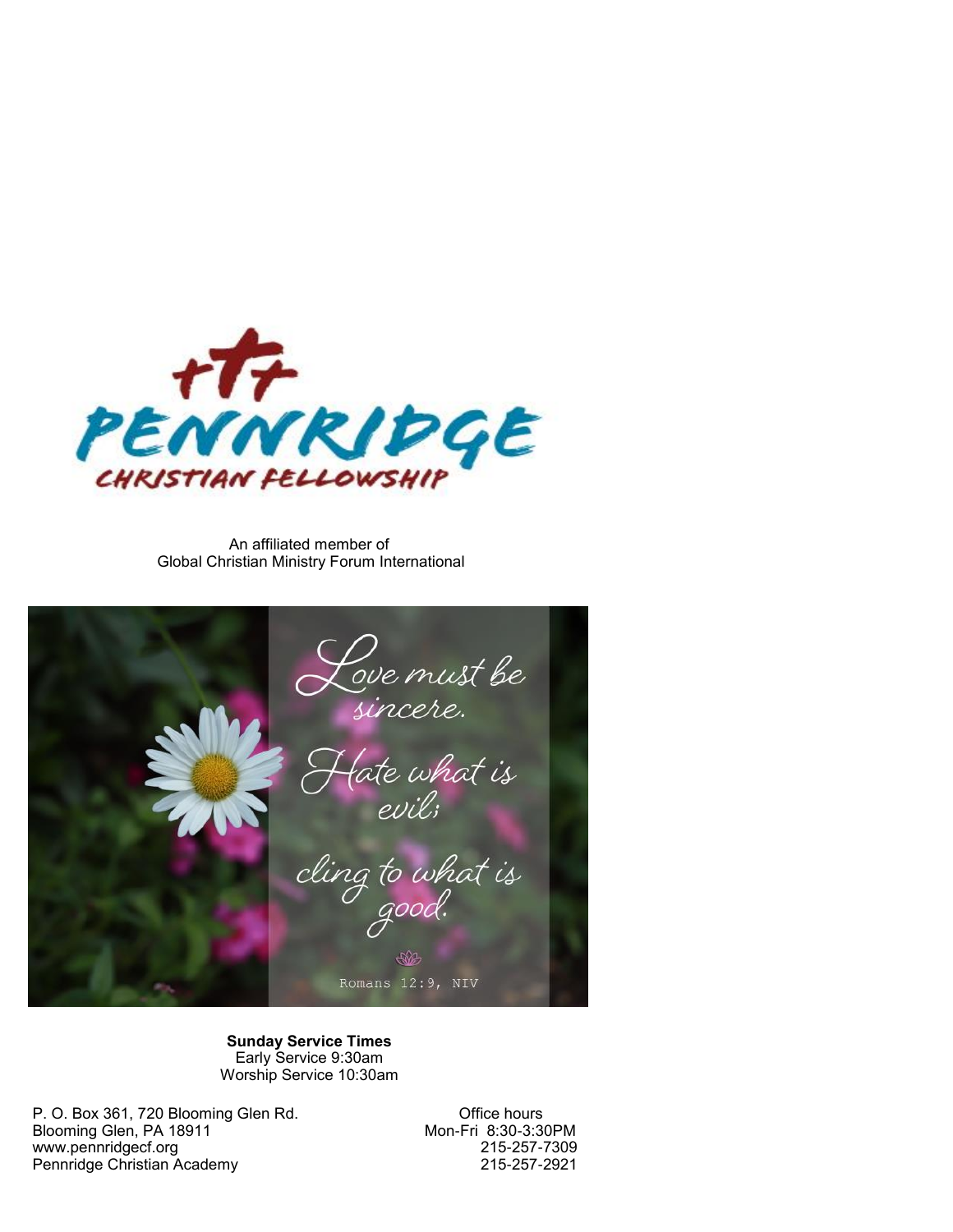

An affiliated member of Global Christian Ministry Forum International

Love must be<br>sincere.<br>Hate what is<br>evil; cling to what is 多 Romans 12:9, NIV

**Sunday Service Times** Early Service 9:30am Worship Service 10:30am

P. O. Box 361, 720 Blooming Glen Rd. Office hours Blooming Glen, PA 18911 Mon-Fri 8:30-3:30PM<br>www.pennridgecf.org 215-257-7309 www.pennridgecf.org 215-257-7309 Pennridge Christian Academy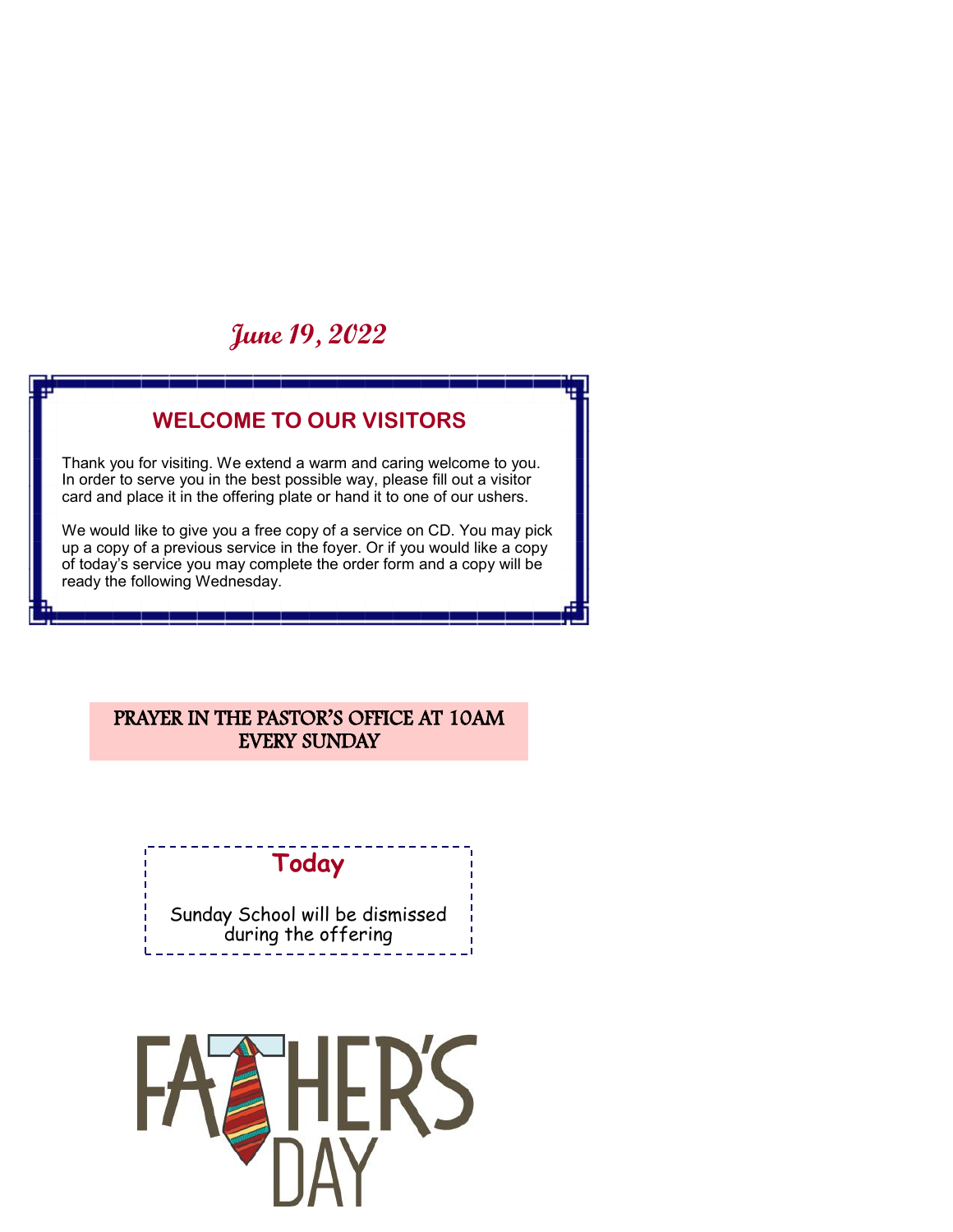# **June 19, 2022**

### **WELCOME TO OUR VISITORS**

Thank you for visiting. We extend a warm and caring welcome to you. In order to serve you in the best possible way, please fill out a visitor card and place it in the offering plate or hand it to one of our ushers.

We would like to give you a free copy of a service on CD. You may pick up a copy of a previous service in the foyer. Or if you would like a copy of today's service you may complete the order form and a copy will be ready the following Wednesday.

#### PRAYER IN THE PASTOR'S OFFICE AT 10AM EVERY SUNDAY

## **Today**

Sunday School will be dismissed during the offering

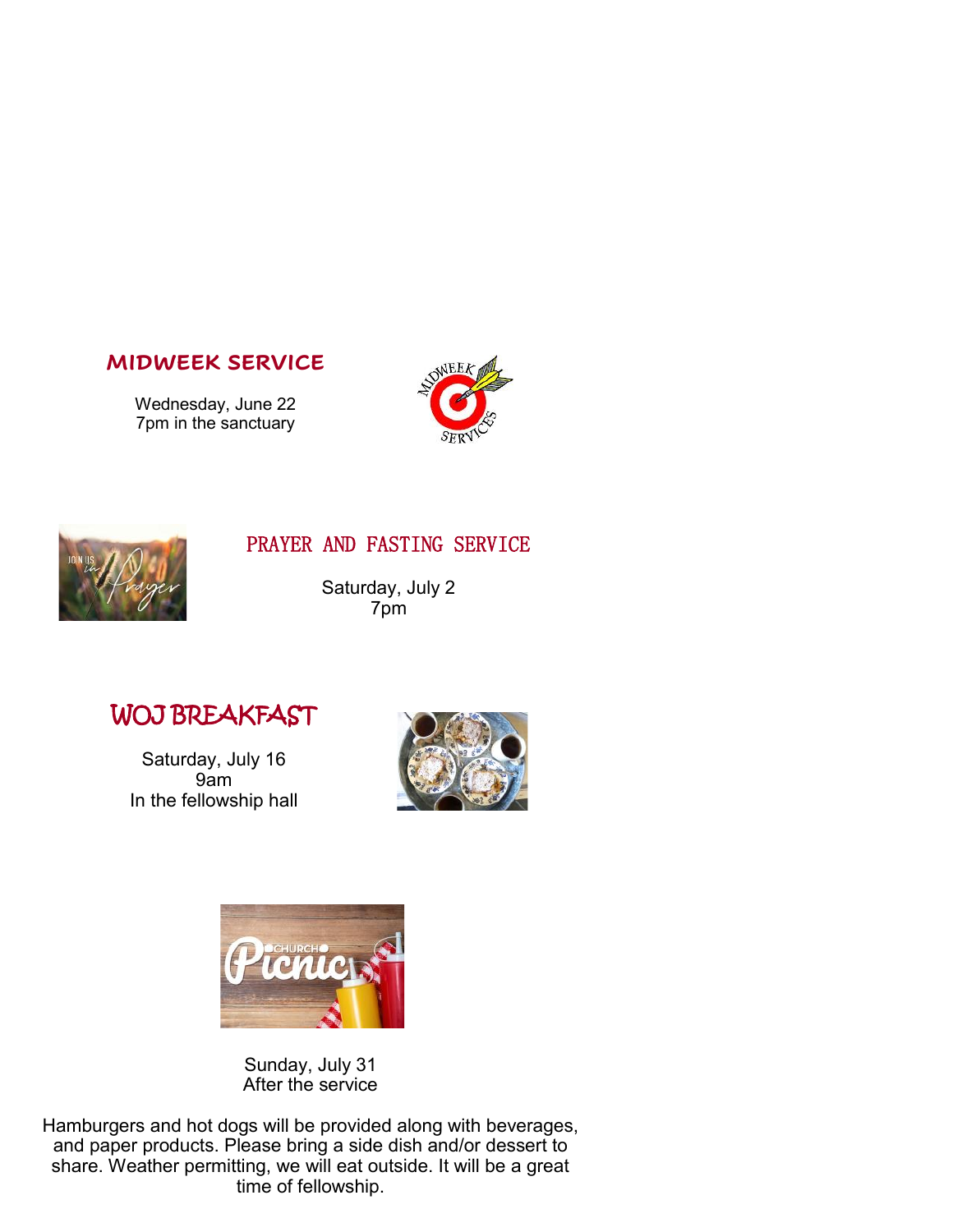#### **MIDWEEK SERVICE**

Wednesday, June 22 7pm in the sanctuary





#### PRAYER AND FASTING SERVICE

Saturday, July 2 7pm

## WOJ BREAKFAST

Saturday, July 16 9am In the fellowship hall





Sunday, July 31 After the service

Hamburgers and hot dogs will be provided along with beverages, and paper products. Please bring a side dish and/or dessert to share. Weather permitting, we will eat outside. It will be a great time of fellowship.